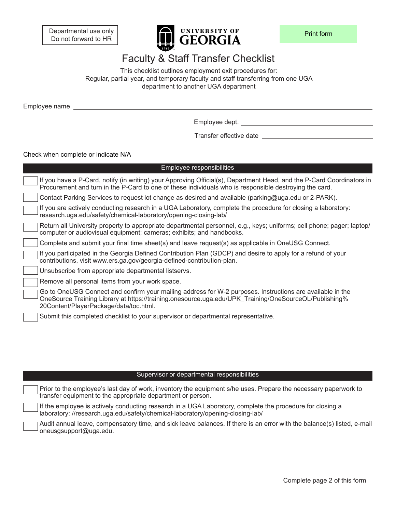Departmental use only Do not forward to HR



## Faculty & Staff Transfer Checklist

This checklist outlines employment exit procedures for: Regular, partial year, and temporary faculty and staff transferring from one UGA department to another UGA department

Employee name

Employee dept.

Transfer effective date

Check when complete or indicate N/A

| Employee responsibilities                                                                                                                                                                                                                                    |
|--------------------------------------------------------------------------------------------------------------------------------------------------------------------------------------------------------------------------------------------------------------|
| If you have a P-Card, notify (in writing) your Approving Official(s), Department Head, and the P-Card Coordinators in<br>Procurement and turn in the P-Card to one of these individuals who is responsible destroying the card.                              |
| Contact Parking Services to request lot change as desired and available (parking@uga.edu or 2-PARK).                                                                                                                                                         |
| If you are actively conducting research in a UGA Laboratory, complete the procedure for closing a laboratory:<br>research.uga.edu/safety/chemical-laboratory/opening-closing-lab/                                                                            |
| Return all University property to appropriate departmental personnel, e.g., keys; uniforms; cell phone; pager; laptop/<br>computer or audiovisual equipment; cameras; exhibits; and handbooks.                                                               |
| Complete and submit your final time sheet(s) and leave request(s) as applicable in OneUSG Connect.                                                                                                                                                           |
| If you participated in the Georgia Defined Contribution Plan (GDCP) and desire to apply for a refund of your<br>contributions, visit www.ers.ga.gov/georgia-defined-contribution-plan.                                                                       |
| Unsubscribe from appropriate departmental listservs.                                                                                                                                                                                                         |
| Remove all personal items from your work space.                                                                                                                                                                                                              |
| Go to OneUSG Connect and confirm your mailing address for W-2 purposes. Instructions are available in the<br>OneSource Training Library at https://training.onesource.uga.edu/UPK Training/OneSourceOL/Publishing%<br>20Content/PlayerPackage/data/toc.html. |
| Submit this completed checklist to your supervisor or departmental representative.                                                                                                                                                                           |

## Supervisor or departmental responsibilities

Prior to the employee's last day of work, inventory the equipment s/he uses. Prepare the necessary paperwork to transfer equipment to the appropriate department or person. If the employee is actively conducting research in a UGA Laboratory, complete the procedure for closing a laboratory: [//research.uga.edu/safety/chemical-laboratory/opening-closing-lab/](https://research.uga.edu/safety/chemical-laboratory/opening-closing-lab/) Audit annual leave, compensatory time, and sick leave balances. If there is an error with the balance(s) listed, e-mail oneusgsupport@uga.edu.